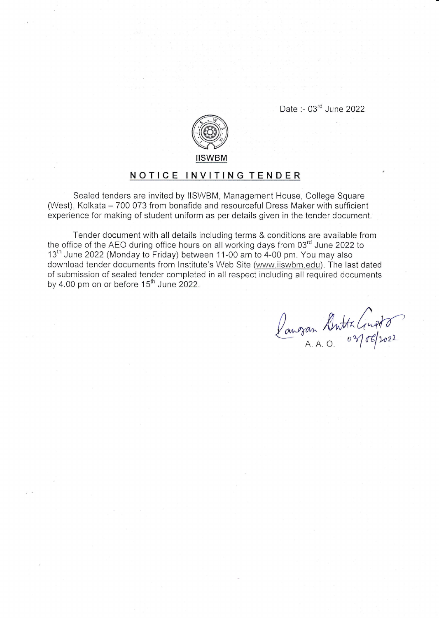Date :- 03<sup>rd</sup> June 2022



## NOTICE INVITING TENDER

Sealed tenders are invited by lISWBM, Management House, College Square (West), Kolkata - 700 073 from bonafide and resourceful Dress Maker with sufficient experience for making of student uniform as per details given in the tender document.

Tender document with all details including terms & conditions are available from the office of the AEO during office hours on all working days from  $03<sup>rd</sup>$  June 2022 to 13<sup>th</sup> June 2022 (Monday to Friday) between 11-00 am to 4-00 pm. You may also download tender documents from lnstitute's Web Site (www.iiswbm.edu). The last dated of submission of sealed tender completed in all respect including all required documents by 4.00 pm on or before  $15<sup>th</sup>$  June 2022.

Pangan Antta Gusta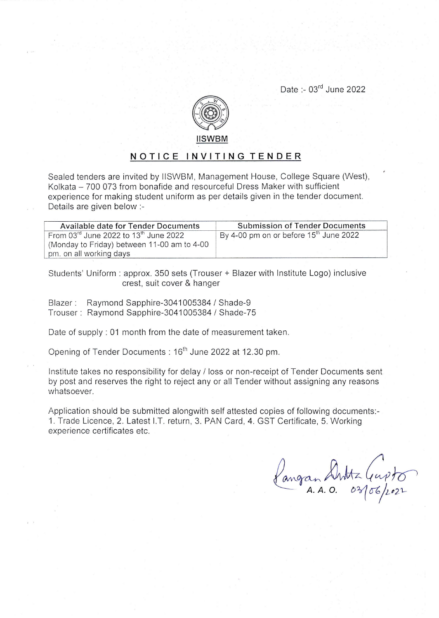Date :- 03<sup>rd</sup> June 2022



## NOTICE INVITING TENDER

Sealed tenders are invited by llSWBM, Management House, College Square (West), Kolkata - 700 073 from bonafide and resourceful Dress Maker with sufficient experience for making student uniform as per details given in the tender document. Details are given below:-

| Available date for Tender Documents               | <b>Submission of Tender Documents</b>    |
|---------------------------------------------------|------------------------------------------|
| From 03rd June 2022 to 13 <sup>th</sup> June 2022 | By 4-00 pm on or before $15th$ June 2022 |
| (Monday to Friday) between 11-00 am to 4-00       |                                          |
| pm. on all working days                           |                                          |

Students' Uniform : approx. 350 sets (Trouser + Blazer with lnstitute Logo) inclusive crest, suit cover & hanger

Blazer : Raymond Sapphire-3041005384 / Shade-9 Trouser: Raymond Sapphire-3041005384 / Shade-75

Date of supply : 01 month from the date of measurement taken.

Opening of Tender Documents : 16<sup>th</sup> June 2022 at 12.30 pm.

lnstitute takes no responsibility for delay / loss or non-receipt of Tender Documents sent by post and reserves the right to reject any or all Tender without assigning any reasons whatsoever.

Application should be submitted alongwith self attested copies of following documents.- 1. Trade Licence, 2. Latest I.T. return, 3. PAN Card, 4. GST Certificate, 5. Working experience certificates etc.

Pangan Anttz (eupto